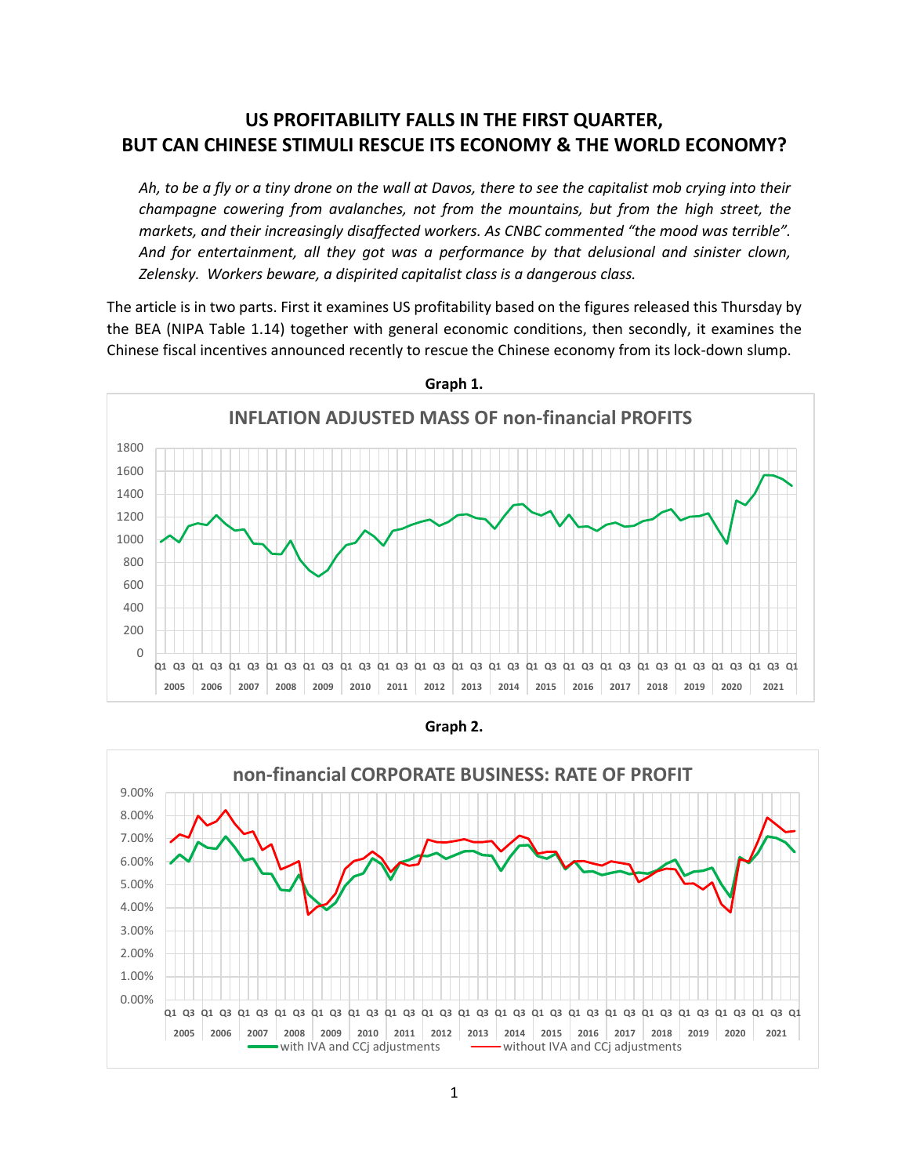## **US PROFITABILITY FALLS IN THE FIRST QUARTER, BUT CAN CHINESE STIMULI RESCUE ITS ECONOMY & THE WORLD ECONOMY?**

*Ah, to be a fly or a tiny drone on the wall at Davos, there to see the capitalist mob crying into their champagne cowering from avalanches, not from the mountains, but from the high street, the markets, and their increasingly disaffected workers. As CNBC commented "the mood was terrible". And for entertainment, all they got was a performance by that delusional and sinister clown, Zelensky. Workers beware, a dispirited capitalist class is a dangerous class.*

The article is in two parts. First it examines US profitability based on the figures released this Thursday by the BEA (NIPA Table 1.14) together with general economic conditions, then secondly, it examines the Chinese fiscal incentives announced recently to rescue the Chinese economy from its lock-down slump.



**Graph 1.**

**Graph 2.**

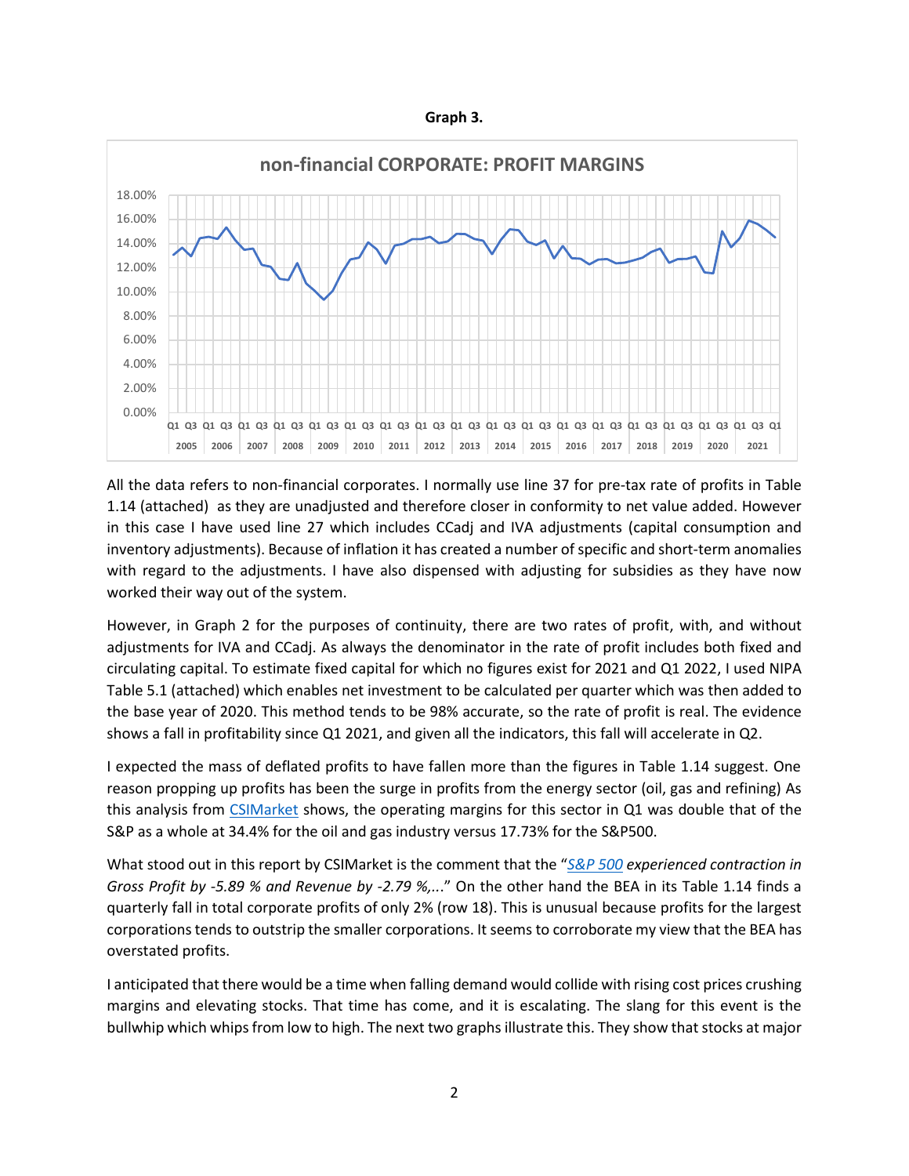| Graph | ۰. |
|-------|----|
|-------|----|



All the data refers to non-financial corporates. I normally use line 37 for pre-tax rate of profits in Table 1.14 (attached) as they are unadjusted and therefore closer in conformity to net value added. However in this case I have used line 27 which includes CCadj and IVA adjustments (capital consumption and inventory adjustments). Because of inflation it has created a number of specific and short-term anomalies with regard to the adjustments. I have also dispensed with adjusting for subsidies as they have now worked their way out of the system.

However, in Graph 2 for the purposes of continuity, there are two rates of profit, with, and without adjustments for IVA and CCadj. As always the denominator in the rate of profit includes both fixed and circulating capital. To estimate fixed capital for which no figures exist for 2021 and Q1 2022, I used NIPA Table 5.1 (attached) which enables net investment to be calculated per quarter which was then added to the base year of 2020. This method tends to be 98% accurate, so the rate of profit is real. The evidence shows a fall in profitability since Q1 2021, and given all the indicators, this fall will accelerate in Q2.

I expected the mass of deflated profits to have fallen more than the figures in Table 1.14 suggest. One reason propping up profits has been the surge in profits from the energy sector (oil, gas and refining) As this analysis from [CSIMarket](https://csimarket.com/Industry/industry_Profitability_Ratios.php?sp5) shows, the operating margins for this sector in Q1 was double that of the S&P as a whole at 34.4% for the oil and gas industry versus 17.73% for the S&P500.

What stood out in this report by CSIMarket is the comment that the "*[S&P 500](https://csimarket.com/Industry/industry_Profitability_Ratios.php?sp5) experienced contraction in Gross Profit by -5.89 % and Revenue by -2.79 %,..*." On the other hand the BEA in its Table 1.14 finds a quarterly fall in total corporate profits of only 2% (row 18). This is unusual because profits for the largest corporations tends to outstrip the smaller corporations. It seems to corroborate my view that the BEA has overstated profits.

I anticipated that there would be a time when falling demand would collide with rising cost prices crushing margins and elevating stocks. That time has come, and it is escalating. The slang for this event is the bullwhip which whips from low to high. The next two graphs illustrate this. They show that stocks at major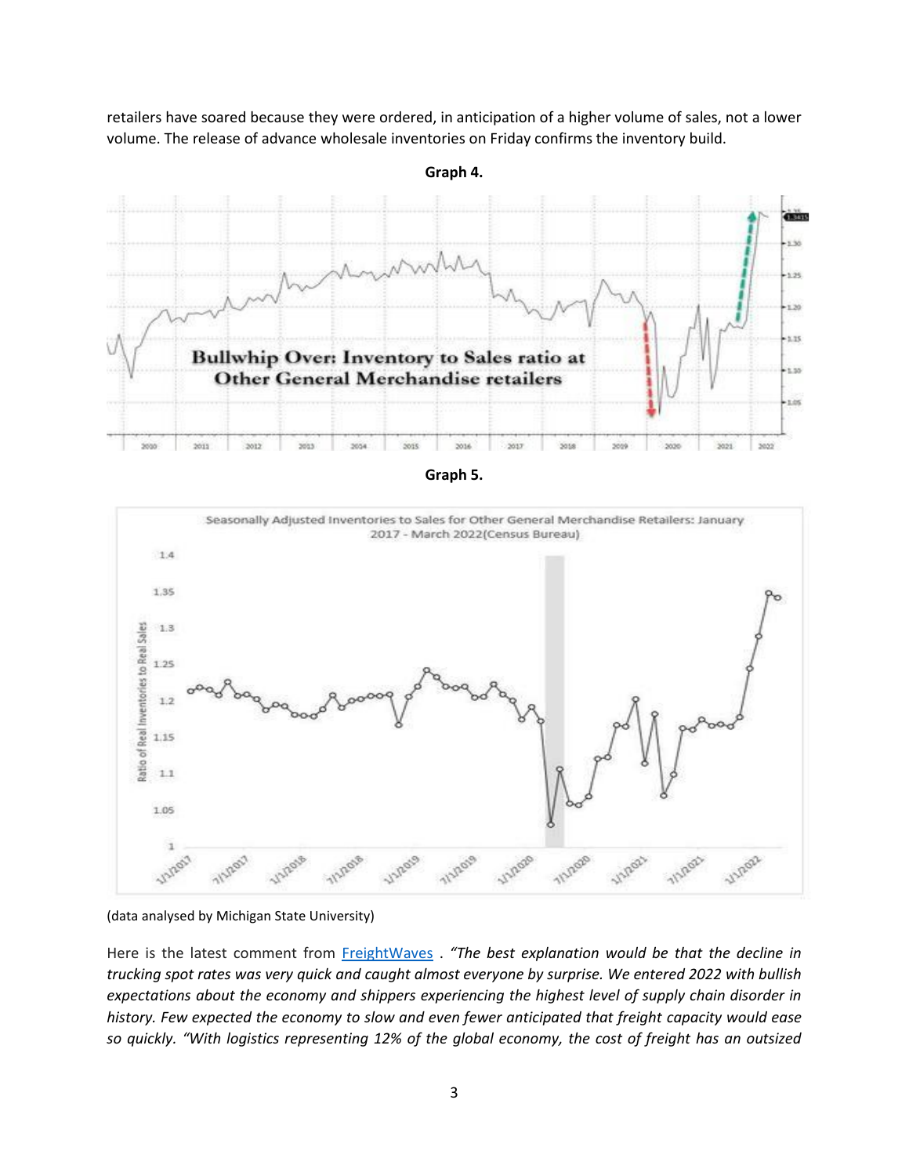retailers have soared because they were ordered, in anticipation of a higher volume of sales, not a lower volume. The release of advance wholesale inventories on Friday confirms the inventory build.

**Graph 4.**





<sup>(</sup>data analysed by Michigan State University)

Here is the latest comment from [FreightWaves](https://www.freightwaves.com/news/a-major-cause-of-inflation-may-have-peaked-thats-good-news-for-consumers-but-bad-news-for-trucking-companies) . *"The best explanation would be that the decline in trucking spot rates was very quick and caught almost everyone by surprise. We entered 2022 with bullish expectations about the economy and shippers experiencing the highest level of supply chain disorder in history. Few expected the economy to slow and even fewer anticipated that freight capacity would ease so quickly. "With logistics representing 12% of the global economy, the cost of freight has an outsized*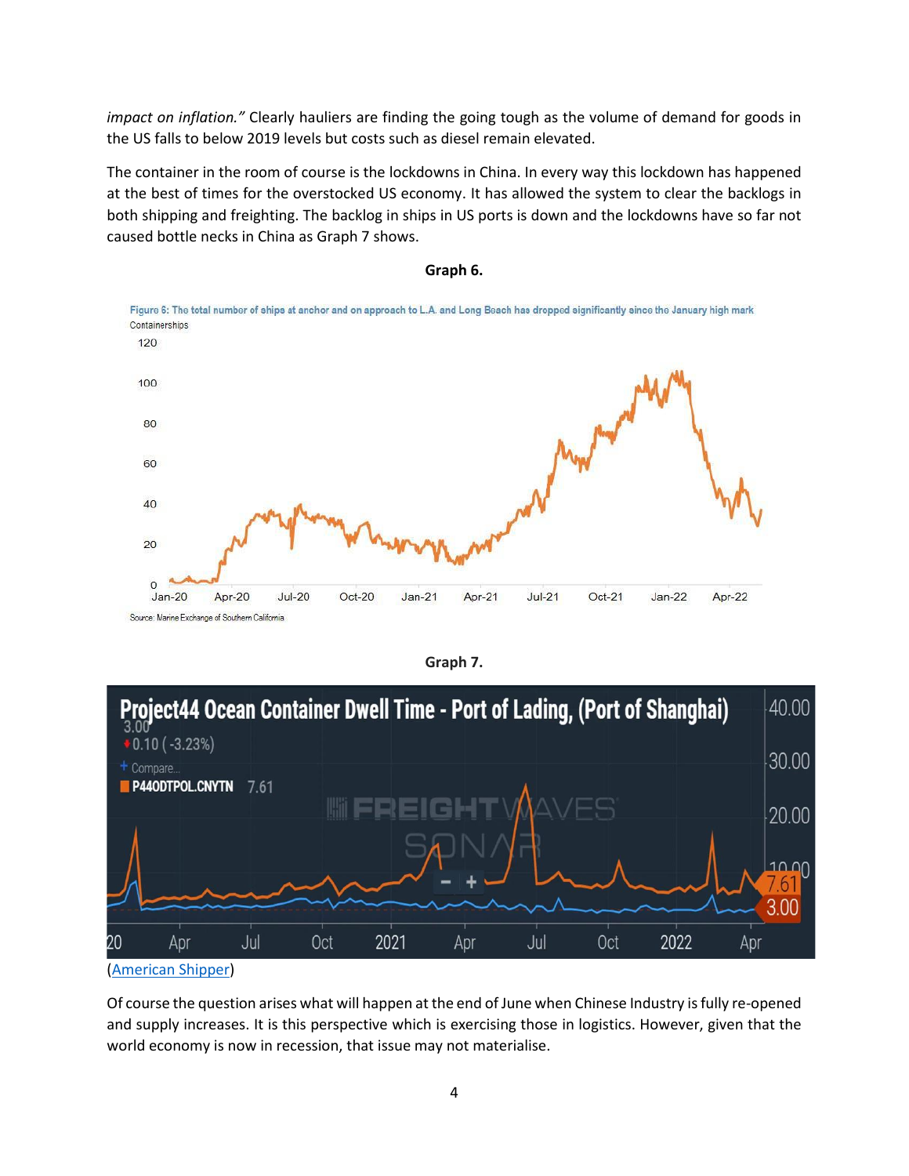*impact on inflation."* Clearly hauliers are finding the going tough as the volume of demand for goods in the US falls to below 2019 levels but costs such as diesel remain elevated.

The container in the room of course is the lockdowns in China. In every way this lockdown has happened at the best of times for the overstocked US economy. It has allowed the system to clear the backlogs in both shipping and freighting. The backlog in ships in US ports is down and the lockdowns have so far not caused bottle necks in China as Graph 7 shows.







Of course the question arises what will happen at the end of June when Chinese Industry is fully re-opened and supply increases. It is this perspective which is exercising those in logistics. However, given that the world economy is now in recession, that issue may not materialise.

**Graph 7.**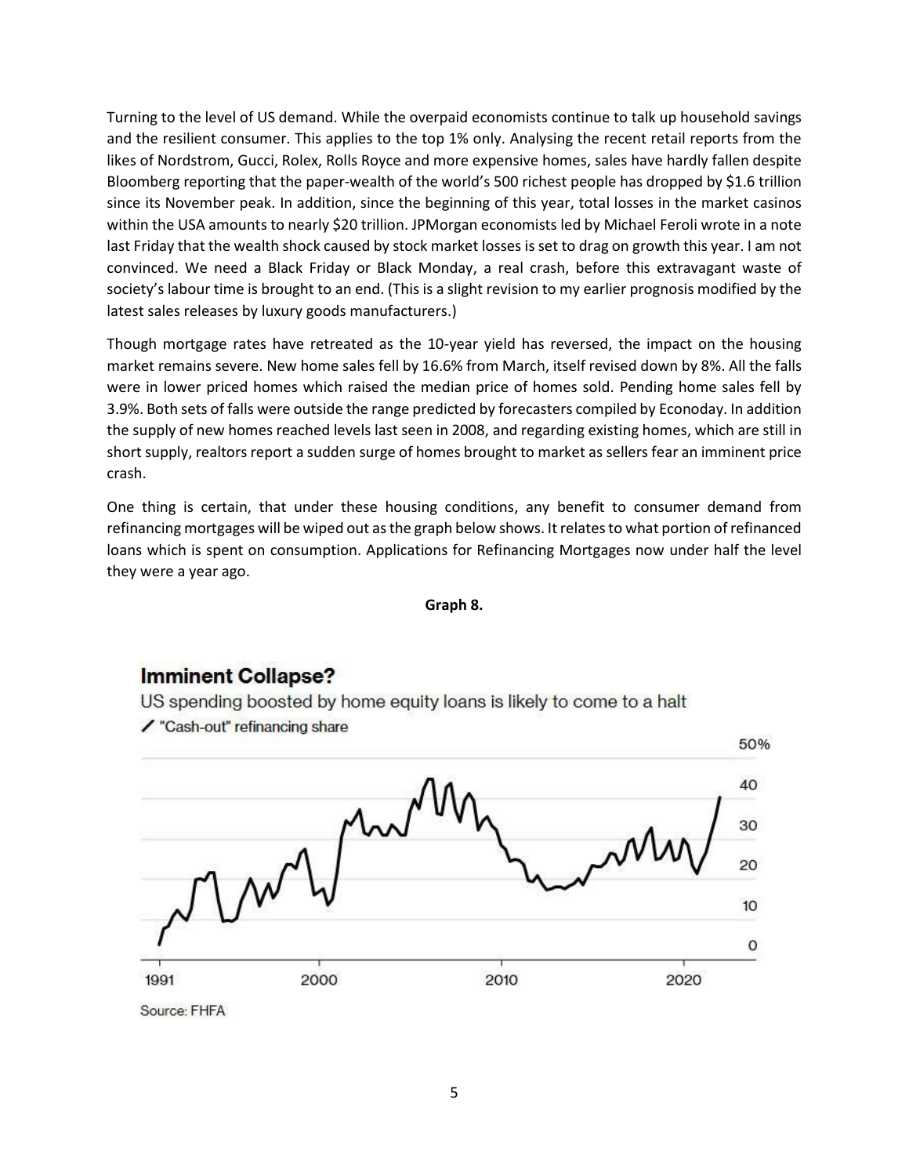Turning to the level of US demand. While the overpaid economists continue to talk up household savings and the resilient consumer. This applies to the top 1% only. Analysing the recent retail reports from the likes of Nordstrom, Gucci, Rolex, Rolls Royce and more expensive homes, sales have hardly fallen despite Bloomberg reporting that the paper-wealth of the world's 500 richest people has dropped by \$1.6 trillion since its November peak. In addition, since the beginning of this year, total losses in the market casinos within the USA amounts to nearly \$20 trillion. JPMorgan economists led by Michael Feroli wrote in a note last Friday that the wealth shock caused by stock market losses is set to drag on growth this year. I am not convinced. We need a Black Friday or Black Monday, a real crash, before this extravagant waste of society's labour time is brought to an end. (This is a slight revision to my earlier prognosis modified by the latest sales releases by luxury goods manufacturers.)

Though mortgage rates have retreated as the 10-year yield has reversed, the impact on the housing market remains severe. New home sales fell by 16.6% from March, itself revised down by 8%. All the falls were in lower priced homes which raised the median price of homes sold. Pending home sales fell by 3.9%. Both sets of falls were outside the range predicted by forecasters compiled by Econoday. In addition the supply of new homes reached levels last seen in 2008, and regarding existing homes, which are still in short supply, realtors report a sudden surge of homes brought to market as sellers fear an imminent price crash.

One thing is certain, that under these housing conditions, any benefit to consumer demand from refinancing mortgages will be wiped out as the graph below shows. It relates to what portion of refinanced loans which is spent on consumption. Applications for Refinancing Mortgages now under half the level they were a year ago.

#### **Graph 8.**

## **Imminent Collapse?**

US spending boosted by home equity loans is likely to come to a halt ✔ "Cash-out" refinancing share



Source: FHFA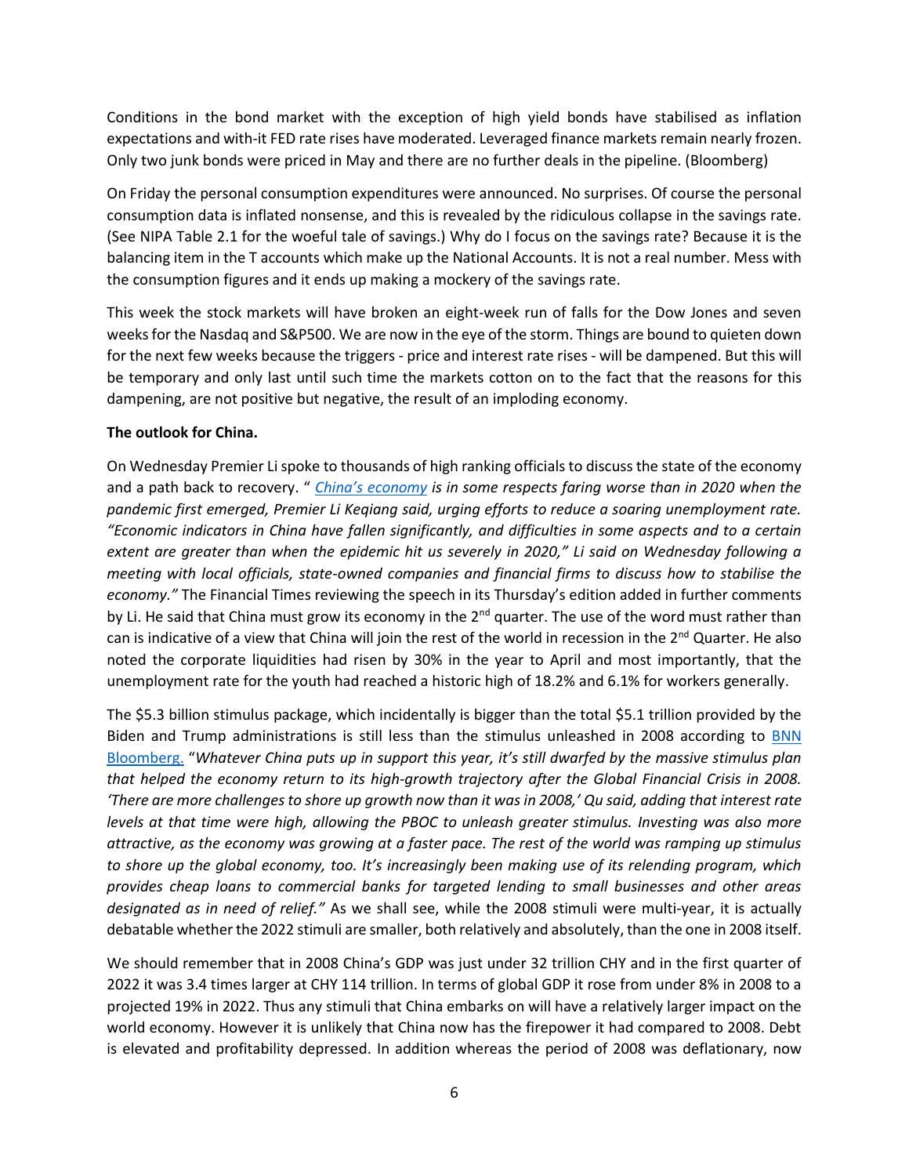Conditions in the bond market with the exception of high yield bonds have stabilised as inflation expectations and with-it FED rate rises have moderated. Leveraged finance markets remain nearly frozen. Only two junk bonds were priced in May and there are no further deals in the pipeline. (Bloomberg)

On Friday the personal consumption expenditures were announced. No surprises. Of course the personal consumption data is inflated nonsense, and this is revealed by the ridiculous collapse in the savings rate. (See NIPA Table 2.1 for the woeful tale of savings.) Why do I focus on the savings rate? Because it is the balancing item in the T accounts which make up the National Accounts. It is not a real number. Mess with the consumption figures and it ends up making a mockery of the savings rate.

This week the stock markets will have broken an eight-week run of falls for the Dow Jones and seven weeks for the Nasdaq and S&P500. We are now in the eye of the storm. Things are bound to quieten down for the next few weeks because the triggers - price and interest rate rises - will be dampened. But this will be temporary and only last until such time the markets cotton on to the fact that the reasons for this dampening, are not positive but negative, the result of an imploding economy.

## **The outlook for China.**

On Wednesday Premier Li spoke to thousands of high ranking officials to discuss the state of the economy and a path back to recovery. " *[China's economy](https://www.gulf-times.com/story/717888/China-s-economy-worse-off-in-some-ways-than-2020-P) is in some respects faring worse than in 2020 when the pandemic first emerged, Premier Li Keqiang said, urging efforts to reduce a soaring unemployment rate. "Economic indicators in China have fallen significantly, and difficulties in some aspects and to a certain extent are greater than when the epidemic hit us severely in 2020," Li said on Wednesday following a meeting with local officials, state-owned companies and financial firms to discuss how to stabilise the economy."* The Financial Times reviewing the speech in its Thursday's edition added in further comments by Li. He said that China must grow its economy in the  $2^{nd}$  quarter. The use of the word must rather than can is indicative of a view that China will join the rest of the world in recession in the 2<sup>nd</sup> Quarter. He also noted the corporate liquidities had risen by 30% in the year to April and most importantly, that the unemployment rate for the youth had reached a historic high of 18.2% and 6.1% for workers generally.

The \$5.3 billion stimulus package, which incidentally is bigger than the total \$5.1 trillion provided by the Biden and Trump administrations is still less than the stimulus unleashed in 2008 according to [BNN](https://www.bnnbloomberg.ca/china-s-stimulus-tops-5-trillion-as-covid-zero-batters-economy-1.1768307)  [Bloomberg.](https://www.bnnbloomberg.ca/china-s-stimulus-tops-5-trillion-as-covid-zero-batters-economy-1.1768307) "*Whatever China puts up in support this year, it's still dwarfed by the massive stimulus plan that helped the economy return to its high-growth trajectory after the Global Financial Crisis in 2008. 'There are more challenges to shore up growth now than it was in 2008,' Qu said, adding that interest rate levels at that time were high, allowing the PBOC to unleash greater stimulus. Investing was also more attractive, as the economy was growing at a faster pace. The rest of the world was ramping up stimulus to shore up the global economy, too. It's increasingly been making use of its relending program, which provides cheap loans to commercial banks for targeted lending to small businesses and other areas designated as in need of relief."* As we shall see, while the 2008 stimuli were multi-year, it is actually debatable whether the 2022 stimuli are smaller, both relatively and absolutely, than the one in 2008 itself.

We should remember that in 2008 China's GDP was just under 32 trillion CHY and in the first quarter of 2022 it was 3.4 times larger at CHY 114 trillion. In terms of global GDP it rose from under 8% in 2008 to a projected 19% in 2022. Thus any stimuli that China embarks on will have a relatively larger impact on the world economy. However it is unlikely that China now has the firepower it had compared to 2008. Debt is elevated and profitability depressed. In addition whereas the period of 2008 was deflationary, now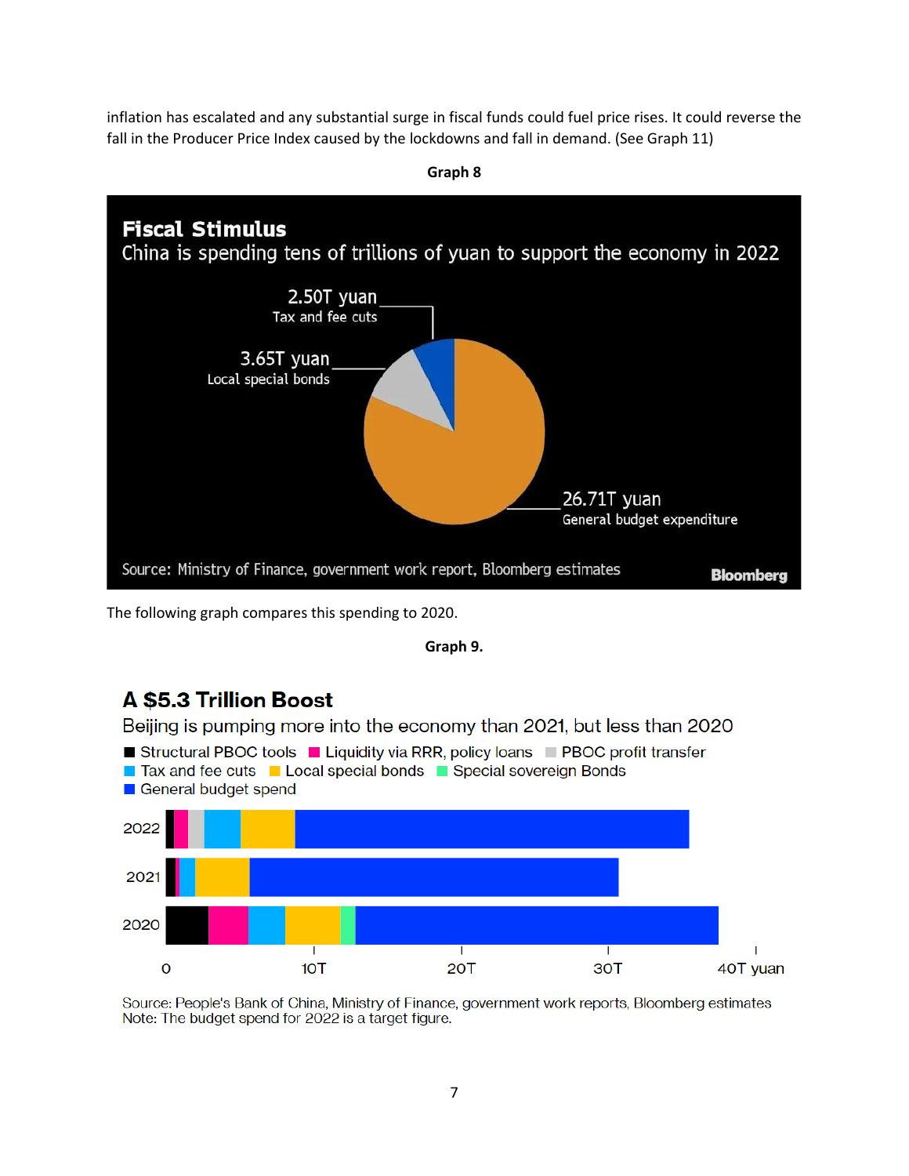inflation has escalated and any substantial surge in fiscal funds could fuel price rises. It could reverse the fall in the Producer Price Index caused by the lockdowns and fall in demand. (See Graph 11)



The following graph compares this spending to 2020.



# **A \$5.3 Trillion Boost**

Beijing is pumping more into the economy than 2021, but less than 2020



Source: People's Bank of China, Ministry of Finance, government work reports, Bloomberg estimates Note: The budget spend for 2022 is a target figure.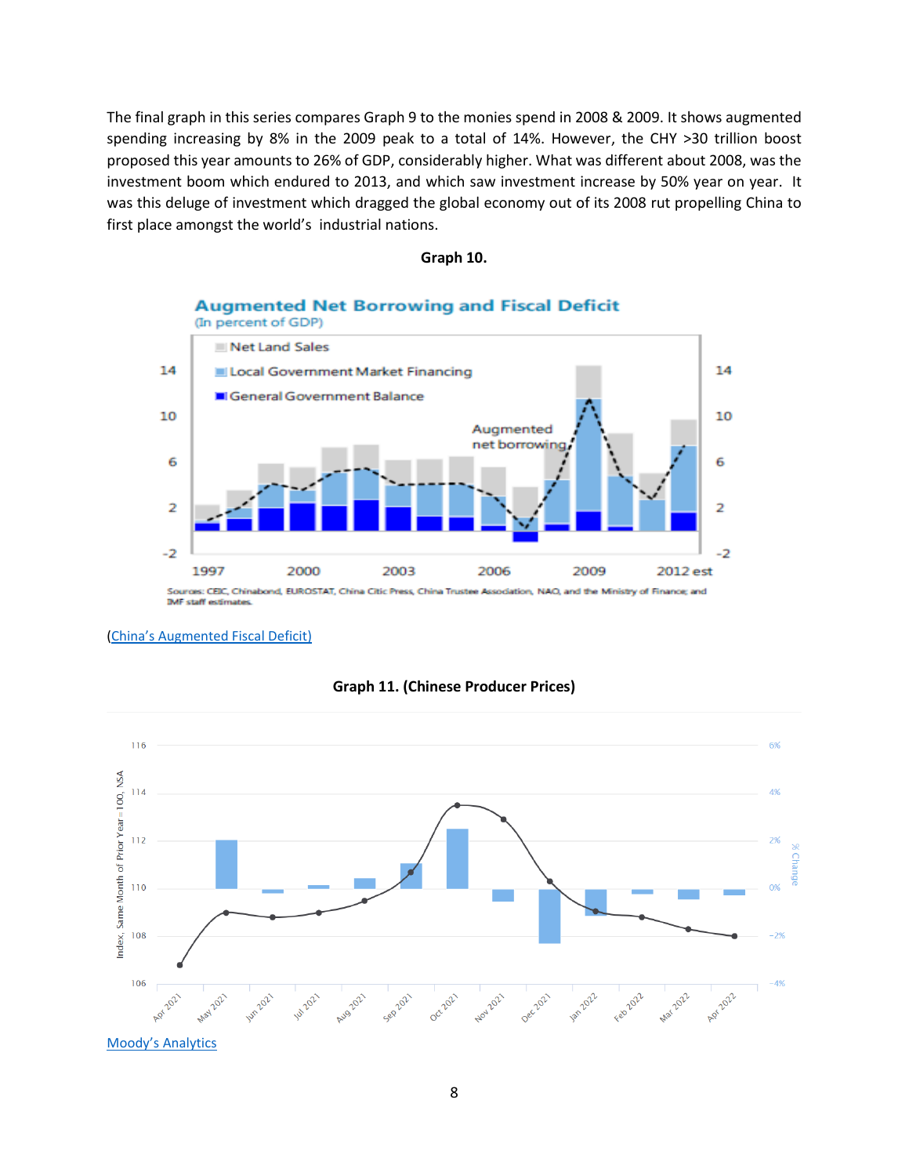The final graph in this series compares Graph 9 to the monies spend in 2008 & 2009. It shows augmented spending increasing by 8% in the 2009 peak to a total of 14%. However, the CHY >30 trillion boost proposed this year amounts to 26% of GDP, considerably higher. What was different about 2008, was the investment boom which endured to 2013, and which saw investment increase by 50% year on year. It was this deluge of investment which dragged the global economy out of its 2008 rut propelling China to first place amongst the world's industrial nations.

#### **Graph 10.**

**Augmented Net Borrowing and Fiscal Deficit** 



#### **IMF staff estimates**

#### ([China's Augmented Fiscal Deficit](https://www.sr-sv.com/estimating-chinas-augmented-fiscal-debt-and-deficit/))



#### **Graph 11. (Chinese Producer Prices)**

Moody's [Analytics](https://www.economy.com/china/producer-price-index-ppi)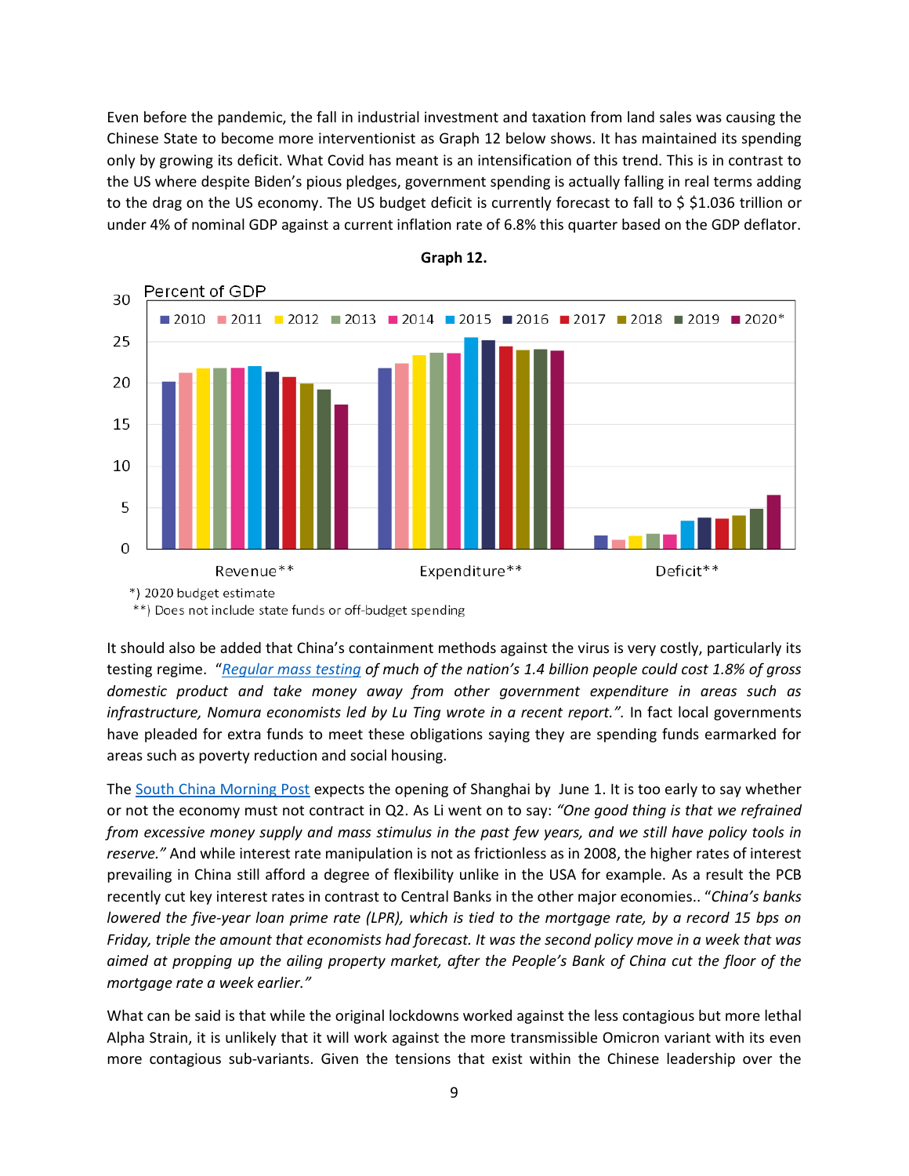Even before the pandemic, the fall in industrial investment and taxation from land sales was causing the Chinese State to become more interventionist as Graph 12 below shows. It has maintained its spending only by growing its deficit. What Covid has meant is an intensification of this trend. This is in contrast to the US where despite Biden's pious pledges, government spending is actually falling in real terms adding to the drag on the US economy. The US budget deficit is currently forecast to fall to \$ \$1.036 trillion or under 4% of nominal GDP against a current inflation rate of 6.8% this quarter based on the GDP deflator.



**Graph 12.**

\*\*) Does not include state funds or off-budget spending

It should also be added that China's containment methods against the virus is very costly, particularly its testing regime. "*[Regular mass testing](https://uk.finance.yahoo.com/news/china-faces-bigger-deficit-covid-053833832.html) of much of the nation's 1.4 billion people could cost 1.8% of gross domestic product and take money away from other government expenditure in areas such as infrastructure, Nomura economists led by Lu Ting wrote in a recent report.".* In fact local governments have pleaded for extra funds to meet these obligations saying they are spending funds earmarked for areas such as poverty reduction and social housing.

The [South China Morning Post](https://www.scmp.com/business/china-business/article/3178769/coronavirus-shanghai-expand-app-tracking-guard-against) expects the opening of Shanghai by June 1. It is too early to say whether or not the economy must not contract in Q2. As Li went on to say: *"One good thing is that we refrained from excessive money supply and mass stimulus in the past few years, and we still have policy tools in reserve."* And while interest rate manipulation is not as frictionless as in 2008, the higher rates of interest prevailing in China still afford a degree of flexibility unlike in the USA for example. As a result the PCB recently cut key interest rates in contrast to Central Banks in the other major economies.. "*China's banks lowered the five-year loan prime rate (LPR), which is tied to the mortgage rate, by a record 15 bps on Friday, triple the amount that economists had forecast. It was the second policy move in a week that was aimed at propping up the ailing property market, after the People's Bank of China cut the floor of the mortgage rate a week earlier."*

What can be said is that while the original lockdowns worked against the less contagious but more lethal Alpha Strain, it is unlikely that it will work against the more transmissible Omicron variant with its even more contagious sub-variants. Given the tensions that exist within the Chinese leadership over the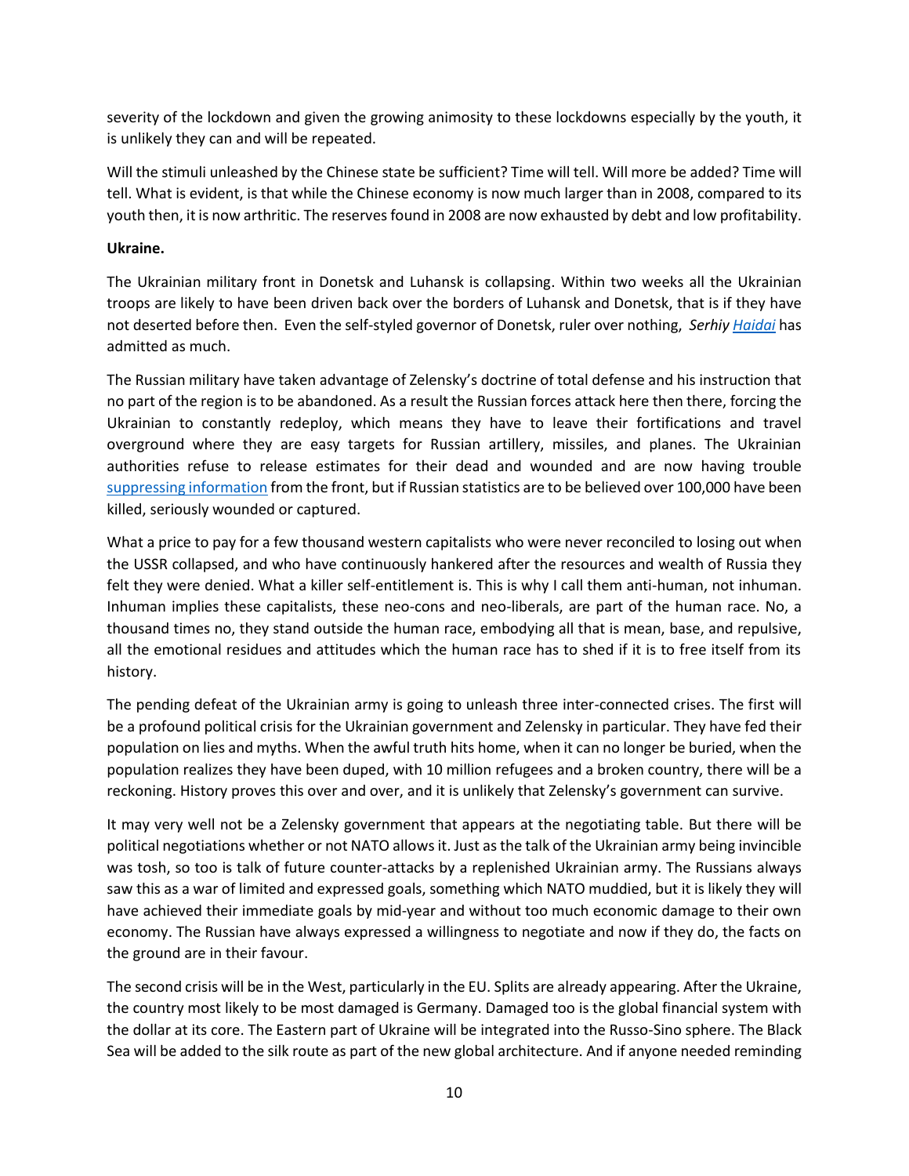severity of the lockdown and given the growing animosity to these lockdowns especially by the youth, it is unlikely they can and will be repeated.

Will the stimuli unleashed by the Chinese state be sufficient? Time will tell. Will more be added? Time will tell. What is evident, is that while the Chinese economy is now much larger than in 2008, compared to its youth then, it is now arthritic. The reserves found in 2008 are now exhausted by debt and low profitability.

### **Ukraine.**

The Ukrainian military front in Donetsk and Luhansk is collapsing. Within two weeks all the Ukrainian troops are likely to have been driven back over the borders of Luhansk and Donetsk, that is if they have not deserted before then. Even the self-styled governor of Donetsk, ruler over nothing, *Serhi[y Haidai](https://www.msn.com/en-gb/news/world/russian-forces-have-upper-hand-in-donbas-fighting-ukrainian-officials-say/ar-AAXKT4q?ocid=msedgdhp&pc=U531&cvid=3eb089b390894f84820c6a2572ff99c9)* has admitted as much.

The Russian military have taken advantage of Zelensky's doctrine of total defense and his instruction that no part of the region is to be abandoned. As a result the Russian forces attack here then there, forcing the Ukrainian to constantly redeploy, which means they have to leave their fortifications and travel overground where they are easy targets for Russian artillery, missiles, and planes. The Ukrainian authorities refuse to release estimates for their dead and wounded and are now having trouble [suppressing information](https://www.msn.com/en-us/news/world/ukrainian-volunteer-fighters-in-the-east-feel-abandoned/ar-AAXLtNs?ocid=uxbndlbing) from the front, but if Russian statistics are to be believed over 100,000 have been killed, seriously wounded or captured.

What a price to pay for a few thousand western capitalists who were never reconciled to losing out when the USSR collapsed, and who have continuously hankered after the resources and wealth of Russia they felt they were denied. What a killer self-entitlement is. This is why I call them anti-human, not inhuman. Inhuman implies these capitalists, these neo-cons and neo-liberals, are part of the human race. No, a thousand times no, they stand outside the human race, embodying all that is mean, base, and repulsive, all the emotional residues and attitudes which the human race has to shed if it is to free itself from its history.

The pending defeat of the Ukrainian army is going to unleash three inter-connected crises. The first will be a profound political crisis for the Ukrainian government and Zelensky in particular. They have fed their population on lies and myths. When the awful truth hits home, when it can no longer be buried, when the population realizes they have been duped, with 10 million refugees and a broken country, there will be a reckoning. History proves this over and over, and it is unlikely that Zelensky's government can survive.

It may very well not be a Zelensky government that appears at the negotiating table. But there will be political negotiations whether or not NATO allows it. Just as the talk of the Ukrainian army being invincible was tosh, so too is talk of future counter-attacks by a replenished Ukrainian army. The Russians always saw this as a war of limited and expressed goals, something which NATO muddied, but it is likely they will have achieved their immediate goals by mid-year and without too much economic damage to their own economy. The Russian have always expressed a willingness to negotiate and now if they do, the facts on the ground are in their favour.

The second crisis will be in the West, particularly in the EU. Splits are already appearing. After the Ukraine, the country most likely to be most damaged is Germany. Damaged too is the global financial system with the dollar at its core. The Eastern part of Ukraine will be integrated into the Russo-Sino sphere. The Black Sea will be added to the silk route as part of the new global architecture. And if anyone needed reminding